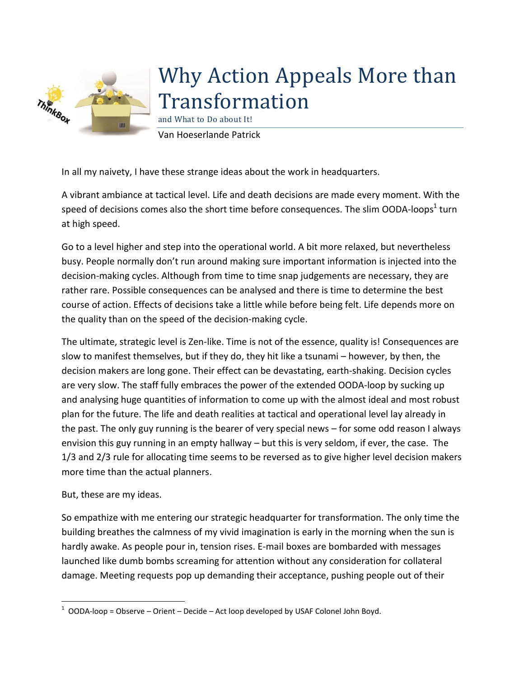

## Why Action Appeals More than Transformation

and What to Do about It!

Van Hoeserlande Patrick

In all my naivety, I have these strange ideas about the work in headquarters.

A vibrant ambiance at tactical level. Life and death decisions are made every moment. With the speed of decisions comes also the short time before consequences. The slim OODA-loops<sup>1</sup> turn at high speed.

Go to a level higher and step into the operational world. A bit more relaxed, but nevertheless busy. People normally don't run around making sure important information is injected into the decision-making cycles. Although from time to time snap judgements are necessary, they are rather rare. Possible consequences can be analysed and there is time to determine the best course of action. Effects of decisions take a little while before being felt. Life depends more on the quality than on the speed of the decision-making cycle.

The ultimate, strategic level is Zen-like. Time is not of the essence, quality is! Consequences are slow to manifest themselves, but if they do, they hit like a tsunami – however, by then, the decision makers are long gone. Their effect can be devastating, earth-shaking. Decision cycles are very slow. The staff fully embraces the power of the extended OODA-loop by sucking up and analysing huge quantities of information to come up with the almost ideal and most robust plan for the future. The life and death realities at tactical and operational level lay already in the past. The only guy running is the bearer of very special news – for some odd reason I always envision this guy running in an empty hallway – but this is very seldom, if ever, the case. The 1/3 and 2/3 rule for allocating time seems to be reversed as to give higher level decision makers more time than the actual planners.

But, these are my ideas.

So empathize with me entering our strategic headquarter for transformation. The only time the building breathes the calmness of my vivid imagination is early in the morning when the sun is hardly awake. As people pour in, tension rises. E-mail boxes are bombarded with messages launched like dumb bombs screaming for attention without any consideration for collateral damage. Meeting requests pop up demanding their acceptance, pushing people out of their

 $\overline{\phantom{a}}$  $^1$  OODA-loop = Observe – Orient – Decide – Act loop developed by USAF Colonel John Boyd.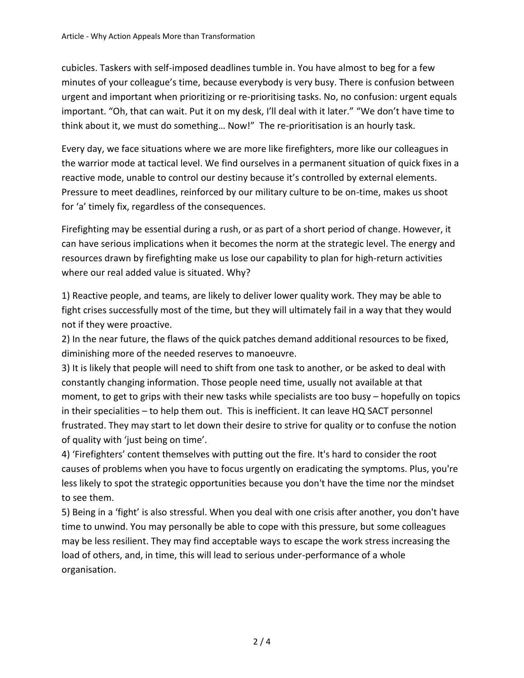cubicles. Taskers with self-imposed deadlines tumble in. You have almost to beg for a few minutes of your colleague's time, because everybody is very busy. There is confusion between urgent and important when prioritizing or re-prioritising tasks. No, no confusion: urgent equals important. "Oh, that can wait. Put it on my desk, I'll deal with it later." "We don't have time to think about it, we must do something… Now!" The re-prioritisation is an hourly task.

Every day, we face situations where we are more like firefighters, more like our colleagues in the warrior mode at tactical level. We find ourselves in a permanent situation of quick fixes in a reactive mode, unable to control our destiny because it's controlled by external elements. Pressure to meet deadlines, reinforced by our military culture to be on-time, makes us shoot for 'a' timely fix, regardless of the consequences.

Firefighting may be essential during a rush, or as part of a short period of change. However, it can have serious implications when it becomes the norm at the strategic level. The energy and resources drawn by firefighting make us lose our capability to plan for high-return activities where our real added value is situated. Why?

1) Reactive people, and teams, are likely to deliver lower quality work. They may be able to fight crises successfully most of the time, but they will ultimately fail in a way that they would not if they were proactive.

2) In the near future, the flaws of the quick patches demand additional resources to be fixed, diminishing more of the needed reserves to manoeuvre.

3) It is likely that people will need to shift from one task to another, or be asked to deal with constantly changing information. Those people need time, usually not available at that moment, to get to grips with their new tasks while specialists are too busy – hopefully on topics in their specialities – to help them out. This is inefficient. It can leave HQ SACT personnel frustrated. They may start to let down their desire to strive for quality or to confuse the notion of quality with 'just being on time'.

4) 'Firefighters' content themselves with putting out the fire. It's hard to consider the root causes of problems when you have to focus urgently on eradicating the symptoms. Plus, you're less likely to spot the strategic opportunities because you don't have the time nor the mindset to see them.

5) Being in a 'fight' is also stressful. When you deal with one crisis after another, you don't have time to unwind. You may personally be able to cope with this pressure, but some colleagues may be less resilient. They may find acceptable ways to escape the work stress increasing the load of others, and, in time, this will lead to serious under-performance of a whole organisation.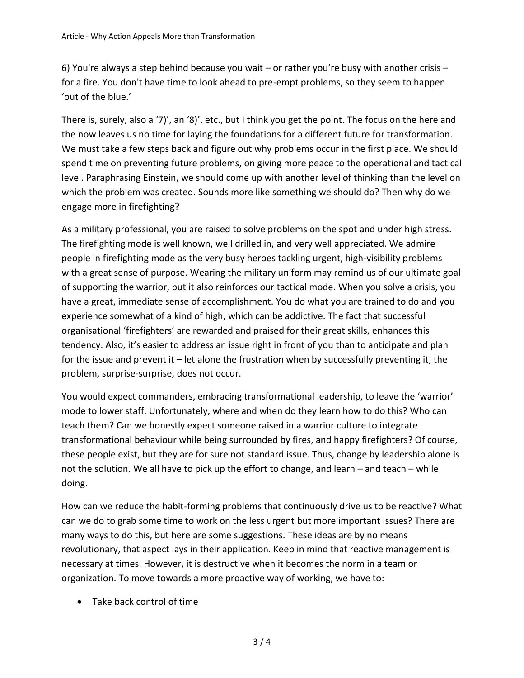6) You're always a step behind because you wait – or rather you're busy with another crisis – for a fire. You don't have time to look ahead to pre-empt problems, so they seem to happen 'out of the blue.'

There is, surely, also a '7)', an '8)', etc., but I think you get the point. The focus on the here and the now leaves us no time for laying the foundations for a different future for transformation. We must take a few steps back and figure out why problems occur in the first place. We should spend time on preventing future problems, on giving more peace to the operational and tactical level. Paraphrasing Einstein, we should come up with another level of thinking than the level on which the problem was created. Sounds more like something we should do? Then why do we engage more in firefighting?

As a military professional, you are raised to solve problems on the spot and under high stress. The firefighting mode is well known, well drilled in, and very well appreciated. We admire people in firefighting mode as the very busy heroes tackling urgent, high-visibility problems with a great sense of purpose. Wearing the military uniform may remind us of our ultimate goal of supporting the warrior, but it also reinforces our tactical mode. When you solve a crisis, you have a great, immediate sense of accomplishment. You do what you are trained to do and you experience somewhat of a kind of high, which can be addictive. The fact that successful organisational 'firefighters' are rewarded and praised for their great skills, enhances this tendency. Also, it's easier to address an issue right in front of you than to anticipate and plan for the issue and prevent it – let alone the frustration when by successfully preventing it, the problem, surprise-surprise, does not occur.

You would expect commanders, embracing transformational leadership, to leave the 'warrior' mode to lower staff. Unfortunately, where and when do they learn how to do this? Who can teach them? Can we honestly expect someone raised in a warrior culture to integrate transformational behaviour while being surrounded by fires, and happy firefighters? Of course, these people exist, but they are for sure not standard issue. Thus, change by leadership alone is not the solution. We all have to pick up the effort to change, and learn – and teach – while doing.

How can we reduce the habit-forming problems that continuously drive us to be reactive? What can we do to grab some time to work on the less urgent but more important issues? There are many ways to do this, but here are some suggestions. These ideas are by no means revolutionary, that aspect lays in their application. Keep in mind that reactive management is necessary at times. However, it is destructive when it becomes the norm in a team or organization. To move towards a more proactive way of working, we have to:

• Take back control of time